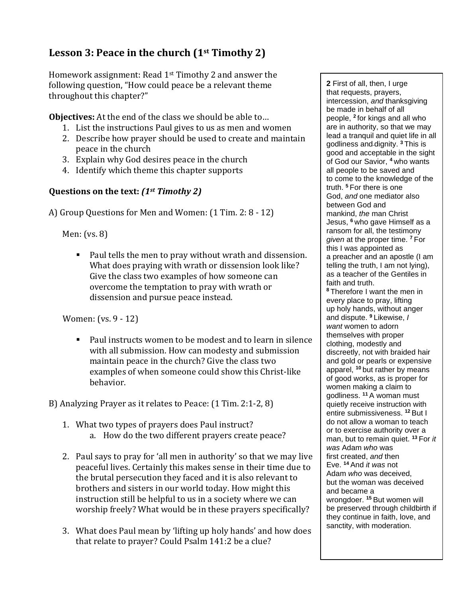## **Lesson 3: Peace in the church (1st Timothy 2)**

Homework assignment: Read 1st Timothy 2 and answer the following question, "How could peace be a relevant theme throughout this chapter?"

**Objectives:** At the end of the class we should be able to…

- 1. List the instructions Paul gives to us as men and women
- 2. Describe how prayer should be used to create and maintain peace in the church
- 3. Explain why God desires peace in the church
- 4. Identify which theme this chapter supports

## **Questions on the text:** *(1st Timothy 2)*

A) Group Questions for Men and Women: (1 Tim. 2: 8 - 12)

Men: (vs. 8)

■ Paul tells the men to pray without wrath and dissension. What does praying with wrath or dissension look like? Give the class two examples of how someone can overcome the temptation to pray with wrath or dissension and pursue peace instead.

Women: (vs. 9 - 12)

■ Paul instructs women to be modest and to learn in silence with all submission. How can modesty and submission maintain peace in the church? Give the class two examples of when someone could show this Christ-like behavior.

B) Analyzing Prayer as it relates to Peace: (1 Tim. 2:1-2, 8)

- 1. What two types of prayers does Paul instruct? a. How do the two different prayers create peace?
- 2. Paul says to pray for 'all men in authority' so that we may live peaceful lives. Certainly this makes sense in their time due to the brutal persecution they faced and it is also relevant to brothers and sisters in our world today. How might this instruction still be helpful to us in a society where we can worship freely? What would be in these prayers specifically?
- 3. What does Paul mean by 'lifting up holy hands' and how does that relate to prayer? Could Psalm 141:2 be a clue?

**2** First of all, then, I urge that requests, prayers, intercession, *and* thanksgiving be made in behalf of all people, **<sup>2</sup>** for kings and all who are in authority, so that we may lead a tranquil and quiet life in all godliness and dignity. **<sup>3</sup>** This is good and acceptable in the sight of God our Savior, **<sup>4</sup>** who wants all people to be saved and to come to the knowledge of the truth. **<sup>5</sup>** For there is one God, *and* one mediator also between God and mankind, *the* man Christ Jesus, **<sup>6</sup>** who gave Himself as a ransom for all, the testimony *given* at the proper time. **<sup>7</sup>** For this I was appointed as a preacher and an apostle (I am telling the truth, I am not lying), as a teacher of the Gentiles in faith and truth. **<sup>8</sup>** Therefore I want the men in every place to pray, lifting up holy hands, without anger and dispute. **<sup>9</sup>** Likewise, *I want* women to adorn themselves with proper clothing, modestly and discreetly, not with braided hair and gold or pearls or expensive apparel, **<sup>10</sup>** but rather by means of good works, as is proper for women making a claim to godliness. **<sup>11</sup>** A woman must quietly receive instruction with entire submissiveness. **<sup>12</sup>** But I do not allow a woman to teach or to exercise authority over a man, but to remain quiet. **<sup>13</sup>** For *it was* Adam *who* was first created, *and* then Eve. **<sup>14</sup>** And *it was* not Adam *who* was deceived, but the woman was deceived and became a wrongdoer. **<sup>15</sup>** But women will be preserved through childbirth if they continue in faith, love, and sanctity, with moderation.